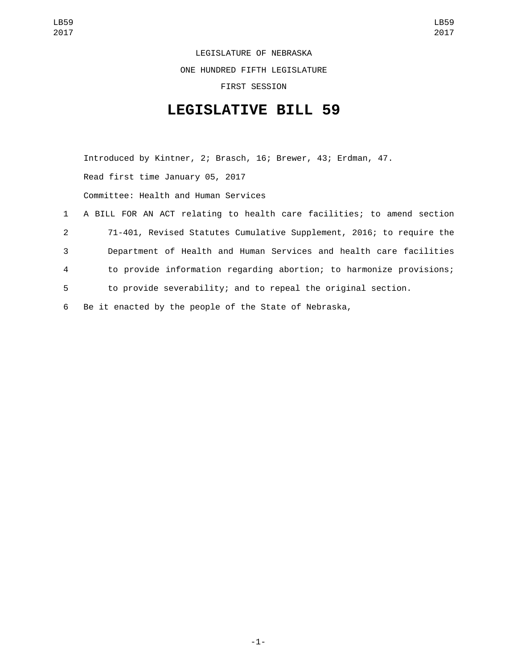LEGISLATURE OF NEBRASKA ONE HUNDRED FIFTH LEGISLATURE FIRST SESSION

## **LEGISLATIVE BILL 59**

Introduced by Kintner, 2; Brasch, 16; Brewer, 43; Erdman, 47. Read first time January 05, 2017 Committee: Health and Human Services

 A BILL FOR AN ACT relating to health care facilities; to amend section 71-401, Revised Statutes Cumulative Supplement, 2016; to require the Department of Health and Human Services and health care facilities to provide information regarding abortion; to harmonize provisions; to provide severability; and to repeal the original section. Be it enacted by the people of the State of Nebraska,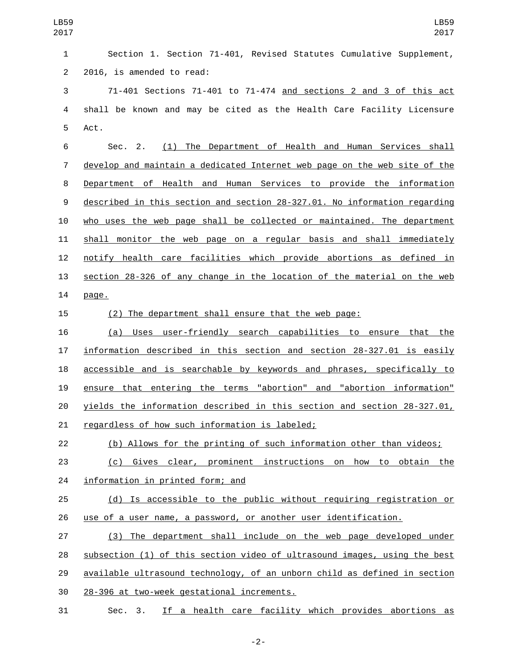| LB59<br>2017   | LB59<br>2017                                                              |
|----------------|---------------------------------------------------------------------------|
| $\mathbf{1}$   | Section 1. Section 71-401, Revised Statutes Cumulative Supplement,        |
| $\overline{2}$ | 2016, is amended to read:                                                 |
| $\sqrt{3}$     | 71-401 Sections 71-401 to 71-474 and sections 2 and 3 of this act         |
| 4              | shall be known and may be cited as the Health Care Facility Licensure     |
| 5              | Act.                                                                      |
| 6              | (1) The Department of Health and Human Services shall<br>Sec. 2.          |
| $\overline{7}$ | develop and maintain a dedicated Internet web page on the web site of the |
| 8              | Department of Health and Human Services to provide the information        |
| 9              | described in this section and section 28-327.01. No information regarding |
| 10             | who uses the web page shall be collected or maintained. The department    |
| 11             | shall monitor the web page on a regular basis and shall immediately       |
| 12             | notify health care facilities which provide abortions as defined in       |
| 13             | section 28-326 of any change in the location of the material on the web   |
| 14             | page.                                                                     |
| 15             | (2) The department shall ensure that the web page:                        |
| 16             | (a) Uses user-friendly search capabilities to ensure that the             |
| 17             | information described in this section and section 28-327.01 is easily     |
| 18             | accessible and is searchable by keywords and phrases, specifically to     |
| 19             | ensure that entering the terms "abortion" and "abortion information"      |
| 20             | yields the information described in this section and section 28-327.01,   |
| 21             | regardless of how such information is labeled;                            |
| 22             | (b) Allows for the printing of such information other than videos;        |
| 23             | (c) Gives clear, prominent instructions on how to obtain the              |
| 24             | information in printed form; and                                          |
| 25             | (d) Is accessible to the public without requiring registration or         |
| 26             | use of a user name, a password, or another user identification.           |
| 27             | (3) The department shall include on the web page developed under          |
| 28             | subsection (1) of this section video of ultrasound images, using the best |
| 29             | available ultrasound technology, of an unborn child as defined in section |
| 30             | 28-396 at two-week gestational increments.                                |
| 31             | If a health care facility which provides abortions as<br>Sec. 3.          |

-2-